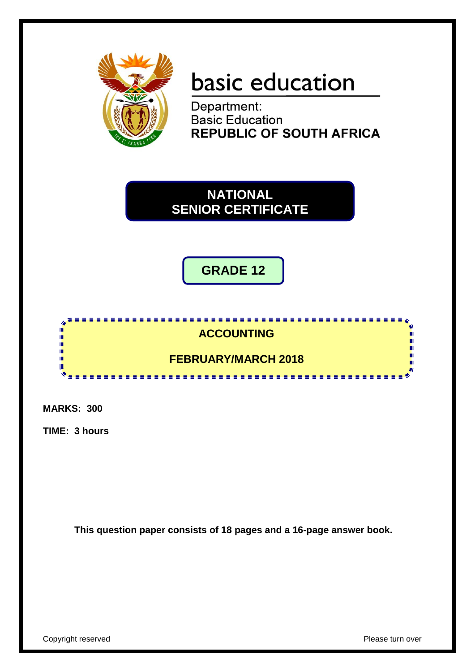

# basic education

Department: **Basic Education REPUBLIC OF SOUTH AFRICA** 

**NATIONAL SENIOR CERTIFICATE**

**GRADE 12**

#### n **ACCOUNTING** Ĩ, 10 **FEBRUARY/MARCH 2018** ú т <u>...................</u>

**MARKS: 300**

**TIME: 3 hours**

**This question paper consists of 18 pages and a 16-page answer book.**

Copyright reserved **Please** turn over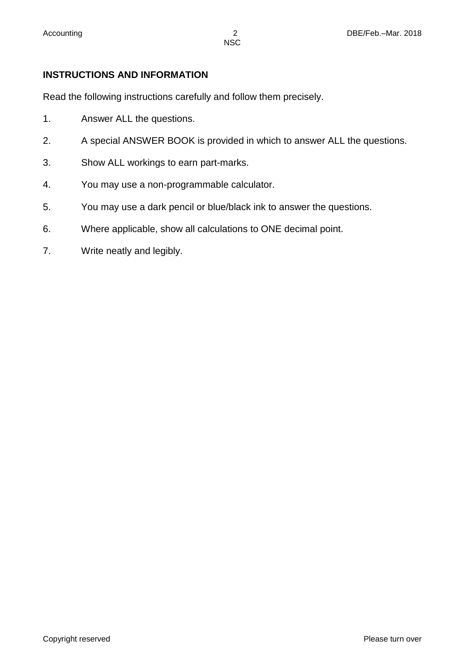# **INSTRUCTIONS AND INFORMATION**

Read the following instructions carefully and follow them precisely.

- 1. Answer ALL the questions.
- 2. A special ANSWER BOOK is provided in which to answer ALL the questions.
- 3. Show ALL workings to earn part-marks.
- 4. You may use a non-programmable calculator.
- 5. You may use a dark pencil or blue/black ink to answer the questions.
- 6. Where applicable, show all calculations to ONE decimal point.
- 7. Write neatly and legibly.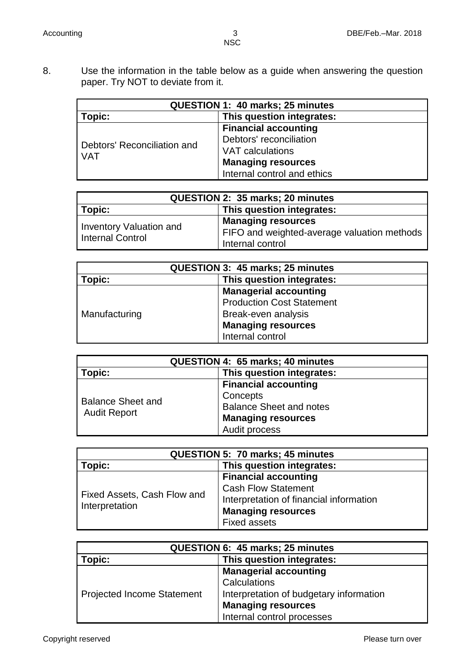8. Use the information in the table below as a guide when answering the question paper. Try NOT to deviate from it.

| QUESTION 1: 40 marks; 25 minutes          |                             |  |  |
|-------------------------------------------|-----------------------------|--|--|
| Topic:                                    | This question integrates:   |  |  |
|                                           | <b>Financial accounting</b> |  |  |
|                                           | Debtors' reconciliation     |  |  |
| Debtors' Reconciliation and<br><b>VAT</b> | VAT calculations            |  |  |
|                                           | <b>Managing resources</b>   |  |  |
|                                           | Internal control and ethics |  |  |

| QUESTION 2: 35 marks; 20 minutes                   |                                                                                              |  |  |
|----------------------------------------------------|----------------------------------------------------------------------------------------------|--|--|
| This question integrates:<br>Topic:                |                                                                                              |  |  |
| Inventory Valuation and<br><b>Internal Control</b> | <b>Managing resources</b><br>FIFO and weighted-average valuation methods<br>Internal control |  |  |

| QUESTION 3: 45 marks; 25 minutes    |                                  |  |  |
|-------------------------------------|----------------------------------|--|--|
| This question integrates:<br>Topic: |                                  |  |  |
| Manufacturing                       | <b>Managerial accounting</b>     |  |  |
|                                     | <b>Production Cost Statement</b> |  |  |
|                                     | Break-even analysis              |  |  |
|                                     | <b>Managing resources</b>        |  |  |
|                                     | Internal control                 |  |  |

| QUESTION 4: 65 marks; 40 minutes                |                                                                                                                         |  |  |  |
|-------------------------------------------------|-------------------------------------------------------------------------------------------------------------------------|--|--|--|
| This question integrates:<br>Topic:             |                                                                                                                         |  |  |  |
| <b>Balance Sheet and</b><br><b>Audit Report</b> | <b>Financial accounting</b><br>Concepts<br><b>Balance Sheet and notes</b><br><b>Managing resources</b><br>Audit process |  |  |  |

| <b>QUESTION 5: 70 marks; 45 minutes</b>       |                                         |  |  |
|-----------------------------------------------|-----------------------------------------|--|--|
| Topic:                                        | This question integrates:               |  |  |
| Fixed Assets, Cash Flow and<br>Interpretation | <b>Financial accounting</b>             |  |  |
|                                               | <b>Cash Flow Statement</b>              |  |  |
|                                               | Interpretation of financial information |  |  |
|                                               | <b>Managing resources</b>               |  |  |
|                                               | <b>Fixed assets</b>                     |  |  |

| QUESTION 6: 45 marks; 25 minutes  |                                         |  |  |
|-----------------------------------|-----------------------------------------|--|--|
| Topic:                            | This question integrates:               |  |  |
|                                   | <b>Managerial accounting</b>            |  |  |
|                                   | Calculations                            |  |  |
| <b>Projected Income Statement</b> | Interpretation of budgetary information |  |  |
|                                   | <b>Managing resources</b>               |  |  |
|                                   | Internal control processes              |  |  |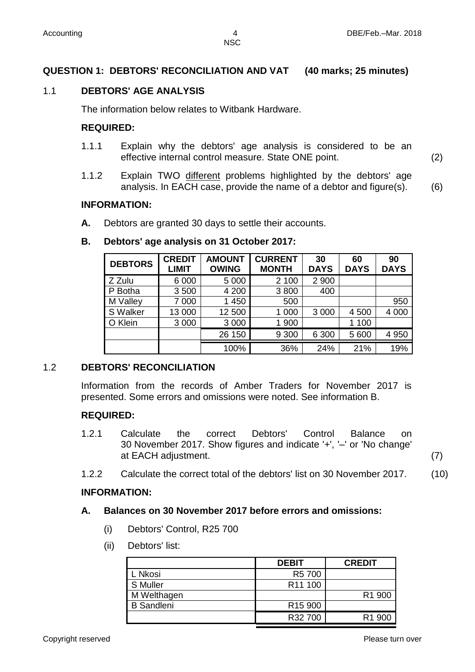# **QUESTION 1: DEBTORS' RECONCILIATION AND VAT (40 marks; 25 minutes)**

### 1.1 **DEBTORS' AGE ANALYSIS**

The information below relates to Witbank Hardware.

#### **REQUIRED:**

- 1.1.1 Explain why the debtors' age analysis is considered to be an effective internal control measure. State ONE point. (2)
- 1.1.2 Explain TWO different problems highlighted by the debtors' age analysis. In EACH case, provide the name of a debtor and figure(s). (6)

#### **INFORMATION:**

**A.** Debtors are granted 30 days to settle their accounts.

#### **B. Debtors' age analysis on 31 October 2017:**

| <b>DEBTORS</b> | <b>CREDIT</b><br><b>LIMIT</b> | <b>AMOUNT</b><br><b>OWING</b> | <b>CURRENT</b><br><b>MONTH</b> | 30<br><b>DAYS</b> | 60<br><b>DAYS</b> | 90<br><b>DAYS</b> |
|----------------|-------------------------------|-------------------------------|--------------------------------|-------------------|-------------------|-------------------|
| Z Zulu         | 6 0 0 0                       | 5 0 0 0                       | 2 100                          | 2 9 0 0           |                   |                   |
| P Botha        | 3500                          | 4 200                         | 3800                           | 400               |                   |                   |
| M Valley       | 7 0 0 0                       | 1 450                         | 500                            |                   |                   | 950               |
| S Walker       | 13 000                        | 12 500                        | 1 000                          | 3 0 0 0           | 4 500             | 4 0 0 0           |
| O Klein        | 3 0 0 0                       | 3 0 0 0                       | 1 900                          |                   | 1 100             |                   |
|                |                               | 26 150                        | 9 3 0 0                        | 6 300             | 5 600             | 4 9 5 0           |
|                |                               | 100%                          | 36%                            | 24%               | 21%               | 19%               |

#### 1.2 **DEBTORS' RECONCILIATION**

Information from the records of Amber Traders for November 2017 is presented. Some errors and omissions were noted. See information B.

#### **REQUIRED:**

1.2.1 Calculate the correct Debtors' Control Balance on 30 November 2017. Show figures and indicate '+', '–' or 'No change' at EACH adjustment. (7)

1.2.2 Calculate the correct total of the debtors' list on 30 November 2017. (10)

#### **INFORMATION:**

#### **A. Balances on 30 November 2017 before errors and omissions:**

- (i) Debtors' Control, R25 700
- (ii) Debtors' list:

|                   | <b>DEBIT</b>        | <b>CREDIT</b>      |
|-------------------|---------------------|--------------------|
| L Nkosi           | R5 700              |                    |
| S Muller          | R <sub>11</sub> 100 |                    |
| M Welthagen       |                     | R <sub>1</sub> 900 |
| <b>B</b> Sandleni | R <sub>15</sub> 900 |                    |
|                   | R32 700             | R <sub>1</sub> 900 |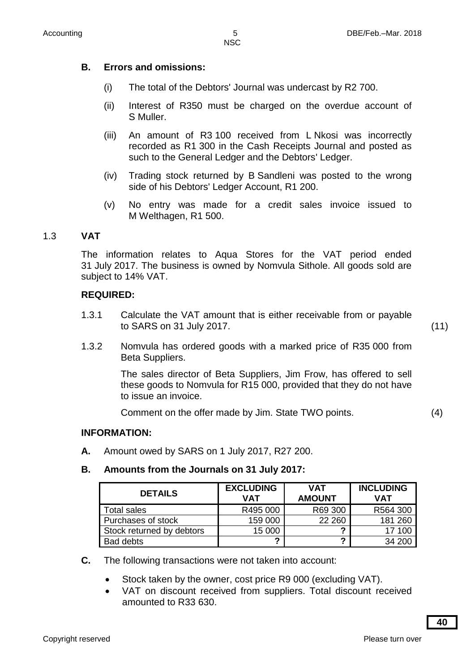# **B. Errors and omissions:**

- (i) The total of the Debtors' Journal was undercast by R2 700.
- (ii) Interest of R350 must be charged on the overdue account of S Muller.
- (iii) An amount of R3 100 received from L Nkosi was incorrectly recorded as R1 300 in the Cash Receipts Journal and posted as such to the General Ledger and the Debtors' Ledger.
- (iv) Trading stock returned by B Sandleni was posted to the wrong side of his Debtors' Ledger Account, R1 200.
- (v) No entry was made for a credit sales invoice issued to M Welthagen, R1 500.

# 1.3 **VAT**

The information relates to Aqua Stores for the VAT period ended 31 July 2017. The business is owned by Nomvula Sithole. All goods sold are subject to 14% VAT.

# **REQUIRED:**

1.3.1 Calculate the VAT amount that is either receivable from or payable to SARS on 31 July 2017. (11)

1.3.2 Nomvula has ordered goods with a marked price of R35 000 from Beta Suppliers.

> The sales director of Beta Suppliers, Jim Frow, has offered to sell these goods to Nomvula for R15 000, provided that they do not have to issue an invoice.

Comment on the offer made by Jim. State TWO points. (4)

# **INFORMATION:**

**A.** Amount owed by SARS on 1 July 2017, R27 200.

### **B. Amounts from the Journals on 31 July 2017:**

| <b>DETAILS</b>            | <b>EXCLUDING</b><br>VAT | <b>VAT</b><br><b>AMOUNT</b> | <b>INCLUDING</b><br>VAT |
|---------------------------|-------------------------|-----------------------------|-------------------------|
| <b>Total sales</b>        | R495 000                | R69 300                     | R564 300                |
| Purchases of stock        | 159 000                 | 22 260                      | 181 260                 |
| Stock returned by debtors | 15 000                  | ◠                           | 17 100                  |
| Bad debts                 | ◠                       | ົ                           | 34 200                  |

- **C.** The following transactions were not taken into account:
	- Stock taken by the owner, cost price R9 000 (excluding VAT).
	- VAT on discount received from suppliers. Total discount received amounted to R33 630.

**40**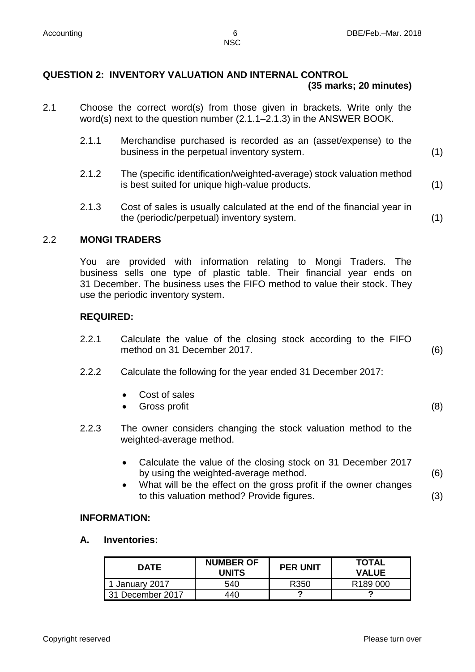### **QUESTION 2: INVENTORY VALUATION AND INTERNAL CONTROL (35 marks; 20 minutes)**

- 2.1 Choose the correct word(s) from those given in brackets. Write only the word(s) next to the question number (2.1.1–2.1.3) in the ANSWER BOOK.
	- 2.1.1 Merchandise purchased is recorded as an (asset/expense) to the business in the perpetual inventory system. (1)
	- 2.1.2 The (specific identification/weighted-average) stock valuation method is best suited for unique high-value products. (1)
	- 2.1.3 Cost of sales is usually calculated at the end of the financial year in the (periodic/perpetual) inventory system. (1)

# 2.2 **MONGI TRADERS**

You are provided with information relating to Mongi Traders. The business sells one type of plastic table. Their financial year ends on 31 December. The business uses the FIFO method to value their stock. They use the periodic inventory system.

### **REQUIRED:**

- 2.2.1 Calculate the value of the closing stock according to the FIFO method on 31 December 2017. (6)
- 2.2.2 Calculate the following for the year ended 31 December 2017:
	- Cost of sales
	- Gross profit (8)
- 2.2.3 The owner considers changing the stock valuation method to the weighted-average method.
	- Calculate the value of the closing stock on 31 December 2017 by using the weighted-average method. (6)
	- What will be the effect on the gross profit if the owner changes to this valuation method? Provide figures. (3)

#### **INFORMATION:**

#### **A. Inventories:**

| DATE             | <b>NUMBER OF</b><br>UNITS | <b>PER UNIT</b> | <b>TOTAL</b><br><b>VALUE</b> |
|------------------|---------------------------|-----------------|------------------------------|
| 1 January 2017   | 540                       | R350            | R <sub>189</sub> 000         |
| 31 December 2017 | 440                       |                 |                              |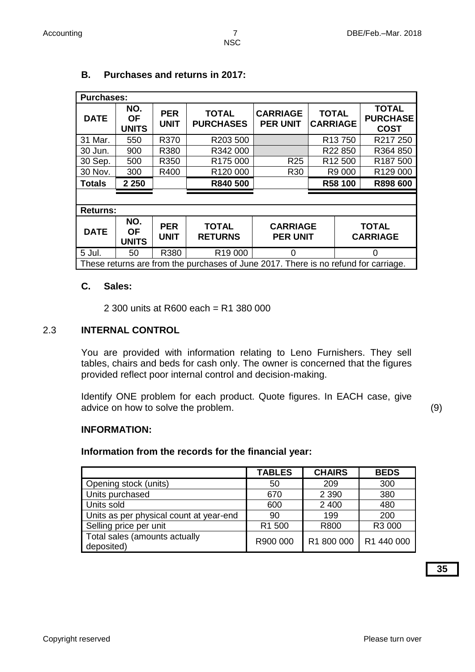| <b>Purchases:</b>                                                                   |                                  |                           |                                  |                                    |                                 |                                                |
|-------------------------------------------------------------------------------------|----------------------------------|---------------------------|----------------------------------|------------------------------------|---------------------------------|------------------------------------------------|
| <b>DATE</b>                                                                         | NO.<br><b>OF</b><br><b>UNITS</b> | <b>PER</b><br><b>UNIT</b> | <b>TOTAL</b><br><b>PURCHASES</b> | <b>CARRIAGE</b><br><b>PER UNIT</b> | <b>TOTAL</b><br><b>CARRIAGE</b> | <b>TOTAL</b><br><b>PURCHASE</b><br><b>COST</b> |
| 31 Mar.                                                                             | 550                              | R370                      | R203 500                         |                                    | R <sub>13</sub> 750             | R217 250                                       |
| 30 Jun.                                                                             | 900                              | R380                      | R342 000                         |                                    | R22 850                         | R364 850                                       |
| 30 Sep.                                                                             | 500                              | R350                      | R175 000                         | R <sub>25</sub>                    | R12 500                         | R187 500                                       |
| 30 Nov.                                                                             | 300                              | R400                      | R120 000                         | R <sub>30</sub>                    | R9 000                          | R129 000                                       |
| <b>Totals</b>                                                                       | 2 2 5 0                          |                           | R840 500                         |                                    | R58 100                         | R898 600                                       |
|                                                                                     |                                  |                           |                                  |                                    |                                 |                                                |
| <b>Returns:</b>                                                                     |                                  |                           |                                  |                                    |                                 |                                                |
| <b>DATE</b>                                                                         | NO.<br><b>OF</b><br><b>UNITS</b> | <b>PER</b><br><b>UNIT</b> | <b>TOTAL</b><br><b>RETURNS</b>   | <b>CARRIAGE</b><br><b>PER UNIT</b> |                                 | <b>TOTAL</b><br><b>CARRIAGE</b>                |
| 5 Jul.                                                                              | 50                               | R380                      | R <sub>19</sub> 000              | ∩                                  |                                 | ∩                                              |
| These returns are from the purchases of June 2017. There is no refund for carriage. |                                  |                           |                                  |                                    |                                 |                                                |

# **B. Purchases and returns in 2017:**

#### **C. Sales:**

2 300 units at R600 each = R1 380 000

#### 2.3 **INTERNAL CONTROL**

You are provided with information relating to Leno Furnishers. They sell tables, chairs and beds for cash only. The owner is concerned that the figures provided reflect poor internal control and decision-making.

Identify ONE problem for each product. Quote figures. In EACH case, give advice on how to solve the problem. (9)

#### **INFORMATION:**

#### **Information from the records for the financial year:**

|                                             | <b>TABLES</b> | <b>CHAIRS</b> | <b>BEDS</b> |
|---------------------------------------------|---------------|---------------|-------------|
| Opening stock (units)                       | 50            | 209           | 300         |
| Units purchased                             | 670           | 2 3 9 0       | 380         |
| Units sold                                  | 600           | 2 4 0 0       | 480         |
| Units as per physical count at year-end     | 90            | 199           | 200         |
| Selling price per unit                      | R1 500        | R800          | R3 000      |
| Total sales (amounts actually<br>deposited) | R900 000      | R1 800 000    | R1 440 000  |

**35**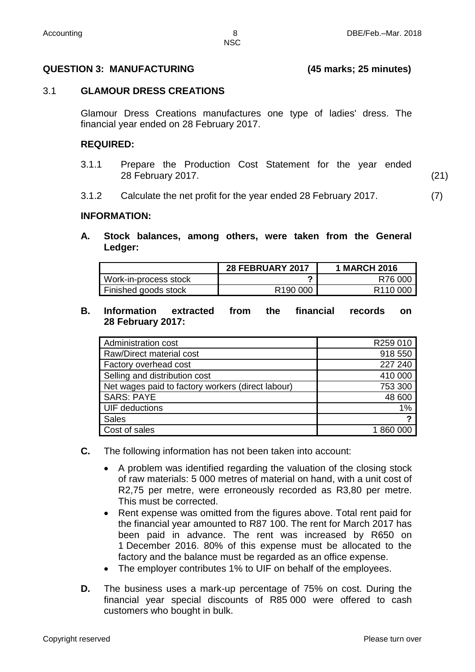#### **QUESTION 3: MANUFACTURING (45 marks; 25 minutes)**

#### 3.1 **GLAMOUR DRESS CREATIONS**

Glamour Dress Creations manufactures one type of ladies' dress. The financial year ended on 28 February 2017.

#### **REQUIRED:**

- 3.1.1 Prepare the Production Cost Statement for the year ended 28 February 2017. (21)
- 3.1.2 Calculate the net profit for the year ended 28 February 2017. (7)

#### **INFORMATION:**

**A. Stock balances, among others, were taken from the General Ledger:**

|                       | <b>28 FEBRUARY 2017</b> | <b>1 MARCH 2016</b>  |
|-----------------------|-------------------------|----------------------|
| Work-in-process stock |                         | R76 000              |
| Finished goods stock  | R <sub>190</sub> 000    | R <sub>110</sub> 000 |

**B. Information extracted from the financial records on 28 February 2017:**

| <b>Administration cost</b>                        | R259 010 |
|---------------------------------------------------|----------|
| Raw/Direct material cost                          | 918 550  |
| Factory overhead cost                             | 227 240  |
| Selling and distribution cost                     | 410 000  |
| Net wages paid to factory workers (direct labour) | 753 300  |
| <b>SARS: PAYE</b>                                 | 48 600   |
| UIF deductions                                    | 1%       |
| <b>Sales</b>                                      | ◠        |
| Cost of sales                                     | 1860000  |

- **C.** The following information has not been taken into account:
	- A problem was identified regarding the valuation of the closing stock of raw materials: 5 000 metres of material on hand, with a unit cost of R2,75 per metre, were erroneously recorded as R3,80 per metre. This must be corrected.
	- Rent expense was omitted from the figures above. Total rent paid for the financial year amounted to R87 100. The rent for March 2017 has been paid in advance. The rent was increased by R650 on 1 December 2016. 80% of this expense must be allocated to the factory and the balance must be regarded as an office expense.
	- The employer contributes 1% to UIF on behalf of the employees.
- **D.** The business uses a mark-up percentage of 75% on cost. During the financial year special discounts of R85 000 were offered to cash customers who bought in bulk.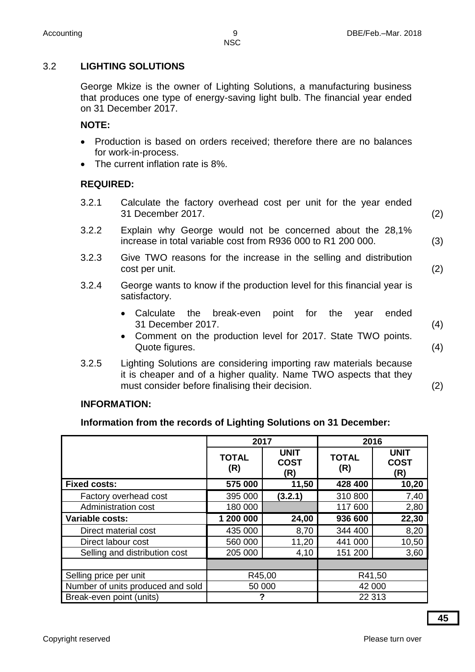# 3.2 **LIGHTING SOLUTIONS**

George Mkize is the owner of Lighting Solutions, a manufacturing business that produces one type of energy-saving light bulb. The financial year ended on 31 December 2017.

# **NOTE:**

- Production is based on orders received; therefore there are no balances for work-in-process.
- The current inflation rate is 8%.

# **REQUIRED:**

- 3.2.1 Calculate the factory overhead cost per unit for the year ended 31 December 2017. (2)
- 3.2.2 Explain why George would not be concerned about the 28,1% increase in total variable cost from R936 000 to R1 200 000. (3)
- 3.2.3 Give TWO reasons for the increase in the selling and distribution cost per unit. (2) (2)
- 3.2.4 George wants to know if the production level for this financial year is satisfactory.
	- Calculate the break-even point for the year ended 31 December 2017. (4)
	- Comment on the production level for 2017. State TWO points. Quote figures. (4)
- 3.2.5 Lighting Solutions are considering importing raw materials because it is cheaper and of a higher quality. Name TWO aspects that they must consider before finalising their decision. (2)

# **INFORMATION:**

# **Information from the records of Lighting Solutions on 31 December:**

|                                   | 2017<br>2016        |                                   |                     |                                   |
|-----------------------------------|---------------------|-----------------------------------|---------------------|-----------------------------------|
|                                   | <b>TOTAL</b><br>(R) | <b>UNIT</b><br><b>COST</b><br>(R) | <b>TOTAL</b><br>(R) | <b>UNIT</b><br><b>COST</b><br>(R) |
| <b>Fixed costs:</b>               | 575 000             | 11,50                             | 428 400             | 10,20                             |
| Factory overhead cost             | 395 000             | (3.2.1)                           | 310 800             | 7,40                              |
| Administration cost               | 180 000             |                                   | 117 600             | 2,80                              |
| Variable costs:                   | 1 200 000           | 24,00                             | 936 600             | 22,30                             |
| Direct material cost              | 435 000             | 8,70                              | 344 400             | 8,20                              |
| Direct labour cost                | 560 000             | 11,20                             | 441 000             | 10,50                             |
| Selling and distribution cost     | 205 000             | 4,10                              | 151 200             | 3,60                              |
|                                   |                     |                                   |                     |                                   |
| Selling price per unit            | R45,00<br>R41,50    |                                   |                     |                                   |
| Number of units produced and sold | 50 000<br>42 000    |                                   |                     |                                   |
| Break-even point (units)          |                     |                                   | 22 313              |                                   |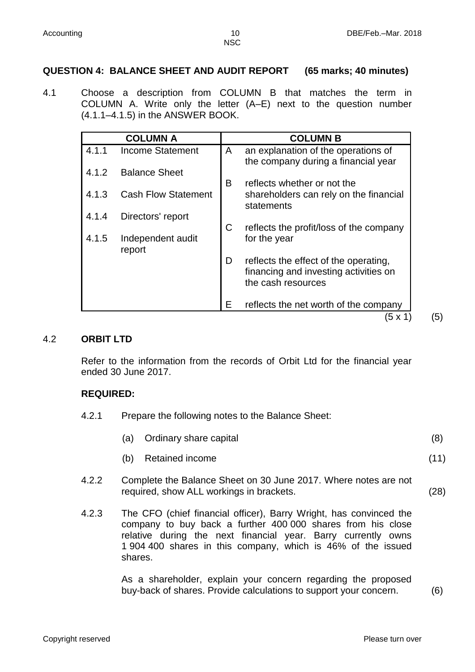#### **QUESTION 4: BALANCE SHEET AND AUDIT REPORT (65 marks; 40 minutes)**

4.1 Choose a description from COLUMN B that matches the term in COLUMN A. Write only the letter (A–E) next to the question number (4.1.1–4.1.5) in the ANSWER BOOK.

| <b>Income Statement</b><br><b>Balance Sheet</b> | A<br>B | an explanation of the operations of<br>the company during a financial year                           |
|-------------------------------------------------|--------|------------------------------------------------------------------------------------------------------|
|                                                 |        |                                                                                                      |
|                                                 |        |                                                                                                      |
|                                                 |        | reflects whether or not the                                                                          |
| <b>Cash Flow Statement</b>                      |        | shareholders can rely on the financial<br>statements                                                 |
| Directors' report                               |        |                                                                                                      |
|                                                 | C      | reflects the profit/loss of the company                                                              |
| Independent audit<br>report                     |        | for the year                                                                                         |
|                                                 | D      | reflects the effect of the operating,<br>financing and investing activities on<br>the cash resources |
|                                                 | Е      | reflects the net worth of the company                                                                |
|                                                 |        |                                                                                                      |

#### 4.2 **ORBIT LTD**

Refer to the information from the records of Orbit Ltd for the financial year ended 30 June 2017.

#### **REQUIRED:**

4.2.1 Prepare the following notes to the Balance Sheet:

|  | (a) Ordinary share capital |  |
|--|----------------------------|--|
|--|----------------------------|--|

- (b) Retained income (11)
- 4.2.2 Complete the Balance Sheet on 30 June 2017. Where notes are not required, show ALL workings in brackets. (28)
- 4.2.3 The CFO (chief financial officer), Barry Wright, has convinced the company to buy back a further 400 000 shares from his close relative during the next financial year. Barry currently owns 1 904 400 shares in this company, which is 46% of the issued shares.

As a shareholder, explain your concern regarding the proposed buy-back of shares. Provide calculations to support your concern. (6)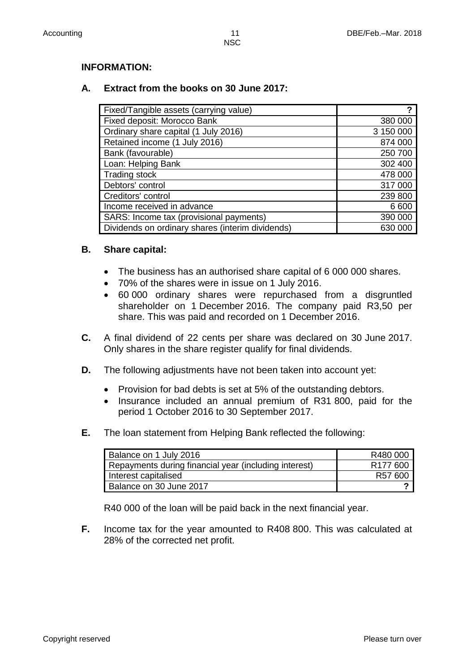## **INFORMATION:**

# **A. Extract from the books on 30 June 2017:**

| Fixed/Tangible assets (carrying value)           | ?         |
|--------------------------------------------------|-----------|
| Fixed deposit: Morocco Bank                      | 380 000   |
| Ordinary share capital (1 July 2016)             | 3 150 000 |
| Retained income (1 July 2016)                    | 874 000   |
| Bank (favourable)                                | 250 700   |
| Loan: Helping Bank                               | 302 400   |
| <b>Trading stock</b>                             | 478 000   |
| Debtors' control                                 | 317 000   |
| Creditors' control                               | 239 800   |
| Income received in advance                       | 6 600     |
| SARS: Income tax (provisional payments)          | 390 000   |
| Dividends on ordinary shares (interim dividends) | 630 000   |

### **B. Share capital:**

- The business has an authorised share capital of 6 000 000 shares.
- 70% of the shares were in issue on 1 July 2016.
- 60 000 ordinary shares were repurchased from a disgruntled shareholder on 1 December 2016. The company paid R3,50 per share. This was paid and recorded on 1 December 2016.
- **C.** A final dividend of 22 cents per share was declared on 30 June 2017. Only shares in the share register qualify for final dividends.
- **D.** The following adjustments have not been taken into account yet:
	- Provision for bad debts is set at 5% of the outstanding debtors.
	- Insurance included an annual premium of R31 800, paid for the period 1 October 2016 to 30 September 2017.
- **E.** The loan statement from Helping Bank reflected the following:

| Balance on 1 July 2016                                | R480 000             |
|-------------------------------------------------------|----------------------|
| Repayments during financial year (including interest) | R <sub>177</sub> 600 |
| Interest capitalised                                  | R57 600              |
| Balance on 30 June 2017                               |                      |

R40 000 of the loan will be paid back in the next financial year.

**F.** Income tax for the year amounted to R408 800. This was calculated at 28% of the corrected net profit.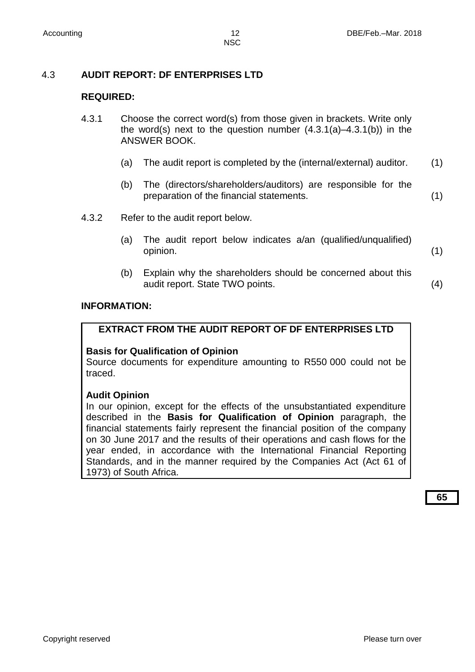# 4.3 **AUDIT REPORT: DF ENTERPRISES LTD**

# **REQUIRED:**

- 4.3.1 Choose the correct word(s) from those given in brackets. Write only the word(s) next to the question number (4.3.1(a)–4.3.1(b)) in the ANSWER BOOK.
	- (a) The audit report is completed by the (internal/external) auditor. (1)
	- (b) The (directors/shareholders/auditors) are responsible for the preparation of the financial statements. (1)
- 4.3.2 Refer to the audit report below.
	- (a) The audit report below indicates a/an (qualified/unqualified) opinion. (1)
	- (b) Explain why the shareholders should be concerned about this audit report. State TWO points. (4)

#### **INFORMATION:**

#### **EXTRACT FROM THE AUDIT REPORT OF DF ENTERPRISES LTD**

#### **Basis for Qualification of Opinion**

Source documents for expenditure amounting to R550 000 could not be traced.

#### **Audit Opinion**

In our opinion, except for the effects of the unsubstantiated expenditure described in the **Basis for Qualification of Opinion** paragraph, the financial statements fairly represent the financial position of the company on 30 June 2017 and the results of their operations and cash flows for the year ended, in accordance with the International Financial Reporting Standards, and in the manner required by the Companies Act (Act 61 of 1973) of South Africa.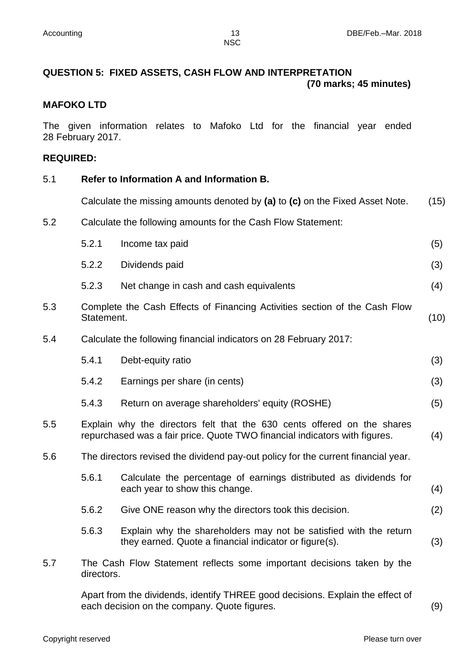# **QUESTION 5: FIXED ASSETS, CASH FLOW AND INTERPRETATION (70 marks; 45 minutes)**

#### **MAFOKO LTD**

The given information relates to Mafoko Ltd for the financial year ended 28 February 2017.

#### **REQUIRED:**

#### 5.1 **Refer to Information A and Information B.**

Calculate the missing amounts denoted by **(a)** to **(c)** on the Fixed Asset Note. (15)

5.2 Calculate the following amounts for the Cash Flow Statement:

|     | 5.2.1                                                                                                                                                 | Income tax paid                                                                                                             | (5) |  |
|-----|-------------------------------------------------------------------------------------------------------------------------------------------------------|-----------------------------------------------------------------------------------------------------------------------------|-----|--|
|     | 5.2.2                                                                                                                                                 | Dividends paid                                                                                                              | (3) |  |
|     | 5.2.3                                                                                                                                                 | Net change in cash and cash equivalents                                                                                     | (4) |  |
| 5.3 | Complete the Cash Effects of Financing Activities section of the Cash Flow<br>Statement.                                                              |                                                                                                                             |     |  |
| 5.4 |                                                                                                                                                       | Calculate the following financial indicators on 28 February 2017:                                                           |     |  |
|     | 5.4.1                                                                                                                                                 | Debt-equity ratio                                                                                                           | (3) |  |
|     | 5.4.2                                                                                                                                                 | Earnings per share (in cents)                                                                                               | (3) |  |
|     | 5.4.3                                                                                                                                                 | Return on average shareholders' equity (ROSHE)                                                                              | (5) |  |
| 5.5 | Explain why the directors felt that the 630 cents offered on the shares<br>repurchased was a fair price. Quote TWO financial indicators with figures. |                                                                                                                             |     |  |
| 5.6 | The directors revised the dividend pay-out policy for the current financial year.                                                                     |                                                                                                                             |     |  |
|     | 5.6.1                                                                                                                                                 | Calculate the percentage of earnings distributed as dividends for<br>each year to show this change.                         | (4) |  |
|     | 5.6.2                                                                                                                                                 | Give ONE reason why the directors took this decision.                                                                       | (2) |  |
|     | 5.6.3                                                                                                                                                 | Explain why the shareholders may not be satisfied with the return<br>they earned. Quote a financial indicator or figure(s). | (3) |  |
| 5.7 | directors.                                                                                                                                            | The Cash Flow Statement reflects some important decisions taken by the                                                      |     |  |
|     |                                                                                                                                                       |                                                                                                                             |     |  |

Apart from the dividends, identify THREE good decisions. Explain the effect of each decision on the company. Quote figures. (9)

Copyright reserved **Please turn over the Copyright reserved** Please turn over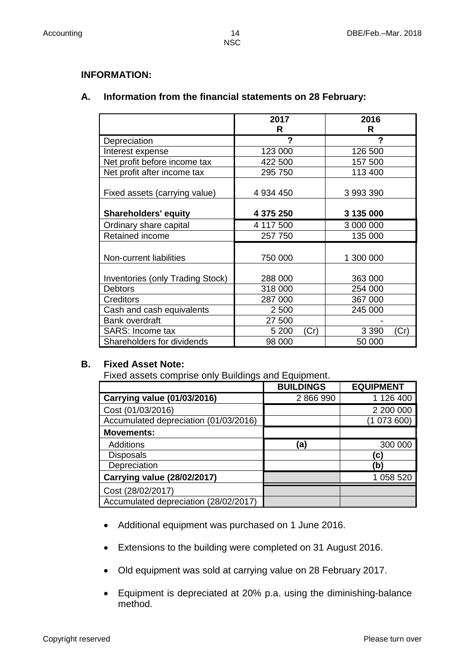#### **INFORMATION:**

# **A. Information from the financial statements on 28 February:**

|                                         | 2017<br>R |      | 2016<br>R |      |
|-----------------------------------------|-----------|------|-----------|------|
| Depreciation                            | ?         |      | ?         |      |
| Interest expense                        | 123 000   |      | 126 500   |      |
| Net profit before income tax            | 422 500   |      | 157 500   |      |
| Net profit after income tax             | 295 750   |      | 113 400   |      |
| Fixed assets (carrying value)           | 4 934 450 |      | 3 993 390 |      |
| <b>Shareholders' equity</b>             | 4 375 250 |      | 3 135 000 |      |
| Ordinary share capital                  | 4 117 500 |      | 3 000 000 |      |
| <b>Retained income</b>                  | 257 750   |      | 135 000   |      |
| Non-current liabilities                 | 750 000   |      | 1 300 000 |      |
| <b>Inventories (only Trading Stock)</b> | 288 000   |      | 363 000   |      |
| <b>Debtors</b>                          | 318 000   |      | 254 000   |      |
| <b>Creditors</b>                        | 287 000   |      | 367 000   |      |
| Cash and cash equivalents               | 2 500     |      | 245 000   |      |
| <b>Bank overdraft</b>                   | 27 500    |      |           |      |
| SARS: Income tax                        | 5 200     | (Cr) | 3 3 9 0   | (Cr) |
| Shareholders for dividends              | 98 000    |      | 50 000    |      |

### **B. Fixed Asset Note:**

Fixed assets comprise only Buildings and Equipment.

|                                       | <b>BUILDINGS</b> | <b>EQUIPMENT</b> |
|---------------------------------------|------------------|------------------|
| <b>Carrying value (01/03/2016)</b>    | 2866990          | 1 126 400        |
| Cost (01/03/2016)                     |                  | 2 200 000        |
| Accumulated depreciation (01/03/2016) |                  | (1073600)        |
| <b>Movements:</b>                     |                  |                  |
| <b>Additions</b>                      | (a)              | 300 000          |
| <b>Disposals</b>                      |                  | C)               |
| Depreciation                          |                  | (b)              |
| <b>Carrying value (28/02/2017)</b>    |                  | 1 058 520        |
| Cost (28/02/2017)                     |                  |                  |
| Accumulated depreciation (28/02/2017) |                  |                  |

- Additional equipment was purchased on 1 June 2016.
- Extensions to the building were completed on 31 August 2016.
- Old equipment was sold at carrying value on 28 February 2017.
- Equipment is depreciated at 20% p.a. using the diminishing-balance method.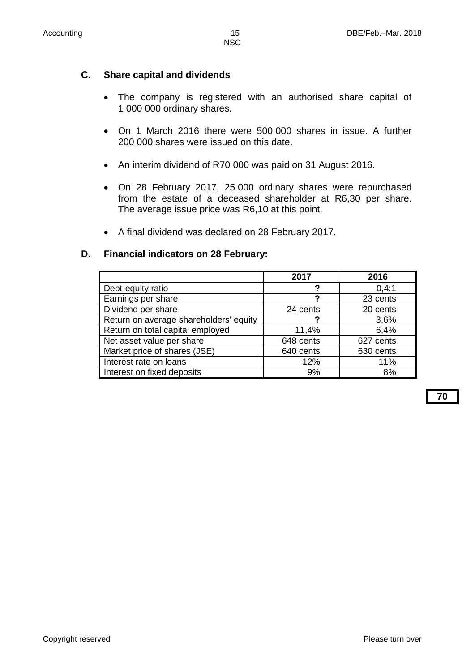# **C. Share capital and dividends**

- The company is registered with an authorised share capital of 1 000 000 ordinary shares.
- On 1 March 2016 there were 500 000 shares in issue. A further 200 000 shares were issued on this date.
- An interim dividend of R70 000 was paid on 31 August 2016.
- On 28 February 2017, 25 000 ordinary shares were repurchased from the estate of a deceased shareholder at R6,30 per share. The average issue price was R6,10 at this point.
- A final dividend was declared on 28 February 2017.

### **D. Financial indicators on 28 February:**

|                                        | 2017      | 2016      |
|----------------------------------------|-----------|-----------|
| Debt-equity ratio                      |           | 0,4:1     |
| Earnings per share                     | ?         | 23 cents  |
| Dividend per share                     | 24 cents  | 20 cents  |
| Return on average shareholders' equity |           | 3,6%      |
| Return on total capital employed       | 11,4%     | 6,4%      |
| Net asset value per share              | 648 cents | 627 cents |
| Market price of shares (JSE)           | 640 cents | 630 cents |
| Interest rate on loans                 | 12%       | 11%       |
| Interest on fixed deposits             | 9%        | 8%        |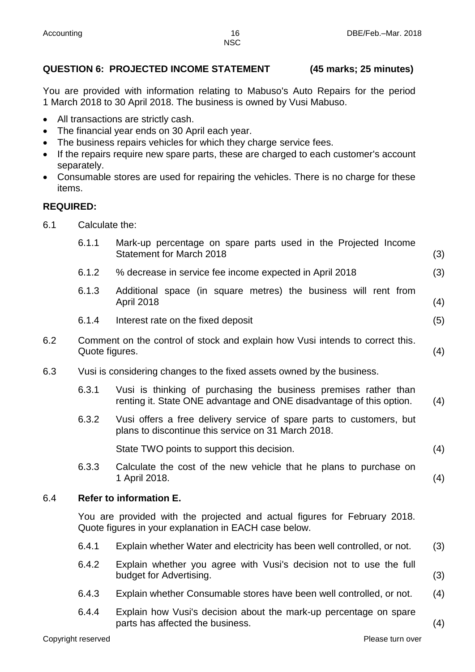# **QUESTION 6: PROJECTED INCOME STATEMENT (45 marks; 25 minutes)**

You are provided with information relating to Mabuso's Auto Repairs for the period 1 March 2018 to 30 April 2018. The business is owned by Vusi Mabuso.

- All transactions are strictly cash.
- The financial year ends on 30 April each year.
- The business repairs vehicles for which they charge service fees.
- If the repairs require new spare parts, these are charged to each customer's account separately.
- Consumable stores are used for repairing the vehicles. There is no charge for these items.

# **REQUIRED:**

6.1 Calculate the:

|     | 6.1.1          | Mark-up percentage on spare parts used in the Projected Income<br><b>Statement for March 2018</b>                                        | (3) |
|-----|----------------|------------------------------------------------------------------------------------------------------------------------------------------|-----|
|     | 6.1.2          | % decrease in service fee income expected in April 2018                                                                                  | (3) |
|     | 6.1.3          | Additional space (in square metres) the business will rent from<br>April 2018                                                            | (4) |
|     | 6.1.4          | Interest rate on the fixed deposit                                                                                                       | (5) |
| 6.2 | Quote figures. | Comment on the control of stock and explain how Vusi intends to correct this.                                                            | (4) |
| 6.3 |                | Vusi is considering changes to the fixed assets owned by the business.                                                                   |     |
|     | 6.3.1          | Vusi is thinking of purchasing the business premises rather than<br>renting it. State ONE advantage and ONE disadvantage of this option. | (4) |
|     | 6.3.2          | Vusi offers a free delivery service of spare parts to customers, but<br>plans to discontinue this service on 31 March 2018.              |     |
|     |                | State TWO points to support this decision.                                                                                               | (4) |
|     | 6.3.3          | Calculate the cost of the new vehicle that he plans to purchase on<br>1 April 2018.                                                      | (4) |
| 6.4 |                | <b>Refer to information E.</b>                                                                                                           |     |
|     |                | You are provided with the projected and actual figures for February 2018.<br>Quote figures in your explanation in EACH case below.       |     |
|     | 6.4.1          | Explain whether Water and electricity has been well controlled, or not.                                                                  | (3) |
|     | 6.4.2          | Explain whether you agree with Vusi's decision not to use the full<br>budget for Advertising.                                            | (3) |
|     | 6.4.3          | Explain whether Consumable stores have been well controlled, or not.                                                                     | (4) |
|     | 6.4.4          | Explain how Vusi's decision about the mark-up percentage on spare<br>parts has affected the business.                                    | (4) |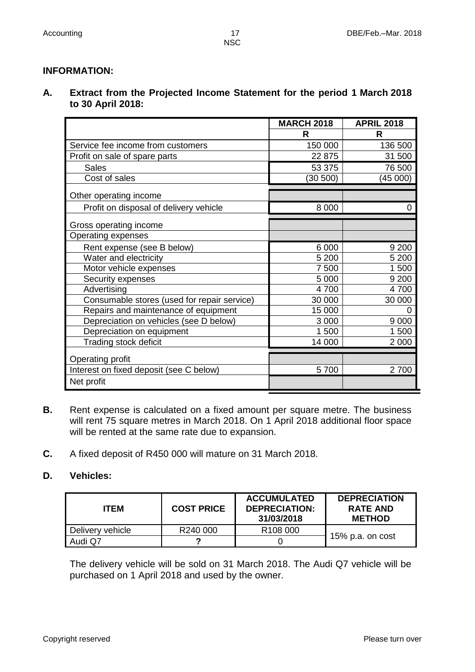# **INFORMATION:**

**A. Extract from the Projected Income Statement for the period 1 March 2018 to 30 April 2018:**

|                                             | <b>MARCH 2018</b> | <b>APRIL 2018</b> |
|---------------------------------------------|-------------------|-------------------|
|                                             | R                 | R                 |
| Service fee income from customers           | 150 000           | 136 500           |
| Profit on sale of spare parts               | 22 875            | 31 500            |
| <b>Sales</b>                                | 53 375            | 76 500            |
| Cost of sales                               | (30 500)          | (45000)           |
| Other operating income                      |                   |                   |
| Profit on disposal of delivery vehicle      | 8 0 0 0           | 0                 |
| Gross operating income                      |                   |                   |
| Operating expenses                          |                   |                   |
| Rent expense (see B below)                  | 6 0 0 0           | 9 2 0 0           |
| Water and electricity                       | 5 200             | 5 200             |
| Motor vehicle expenses                      | 7 500             | 1 500             |
| Security expenses                           | 5 0 0 0           | 9 2 0 0           |
| Advertising                                 | 4700              | 4700              |
| Consumable stores (used for repair service) | 30 000            | 30 000            |
| Repairs and maintenance of equipment        | 15 000            |                   |
| Depreciation on vehicles (see D below)      | 3 0 0 0           | 9 0 0 0           |
| Depreciation on equipment                   | 1 500             | 1 500             |
| Trading stock deficit                       | 14 000            | 2 0 0 0           |
| Operating profit                            |                   |                   |
| Interest on fixed deposit (see C below)     | 5700              | 2700              |
| Net profit                                  |                   |                   |

- **B.** Rent expense is calculated on a fixed amount per square metre. The business will rent 75 square metres in March 2018. On 1 April 2018 additional floor space will be rented at the same rate due to expansion.
- **C.** A fixed deposit of R450 000 will mature on 31 March 2018.

# **D. Vehicles:**

| <b>ITEM</b>      | <b>COST PRICE</b> | <b>ACCUMULATED</b><br><b>DEPRECIATION:</b><br>31/03/2018 | <b>DEPRECIATION</b><br><b>RATE AND</b><br><b>METHOD</b> |  |
|------------------|-------------------|----------------------------------------------------------|---------------------------------------------------------|--|
| Delivery vehicle | R240 000          | R <sub>108</sub> 000                                     | 15% p.a. on cost                                        |  |
| Audi Q7          | ◠                 |                                                          |                                                         |  |

The delivery vehicle will be sold on 31 March 2018. The Audi Q7 vehicle will be purchased on 1 April 2018 and used by the owner.